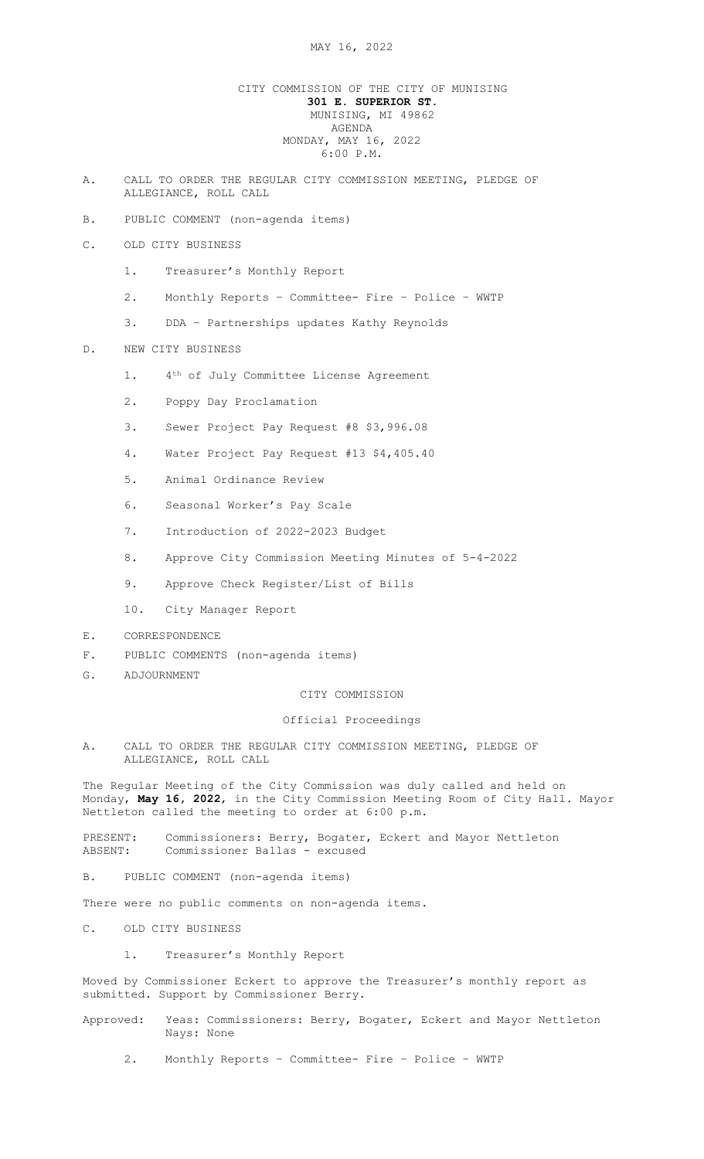# CITY COMMISSION OF THE CITY OF MUNISING 301 E. SUPERIOR ST. MUNISING, MI 49862 AGENDA MONDAY, MAY 16, 2022 6:00 P.M.

- A. CALL TO ORDER THE REGULAR CITY COMMISSION MEETING, PLEDGE OF ALLEGIANCE, ROLL CALL
- B. PUBLIC COMMENT (non-agenda items)
- C. OLD CITY BUSINESS
	- 1. Treasurer's Monthly Report
	- 2. Monthly Reports Committee- Fire Police WWTP
	- 3. DDA Partnerships updates Kathy Reynolds

# D. NEW CITY BUSINESS

- 1. 4<sup>th</sup> of July Committee License Agreement
- 2. Poppy Day Proclamation
- 3. Sewer Project Pay Request #8 \$3,996.08
- 4. Water Project Pay Request #13 \$4,405.40
- 5. Animal Ordinance Review
- 6. Seasonal Worker's Pay Scale
- 7. Introduction of 2022-2023 Budget
- 8. Approve City Commission Meeting Minutes of 5-4-2022
- 9. Approve Check Register/List of Bills
- 10. City Manager Report
- E. CORRESPONDENCE
- F. PUBLIC COMMENTS (non-agenda items)
- G. ADJOURNMENT

## CITY COMMISSION

#### Official Proceedings

A. CALL TO ORDER THE REGULAR CITY COMMISSION MEETING, PLEDGE OF ALLEGIANCE, ROLL CALL

The Regular Meeting of the City Commission was duly called and held on Monday, May 16, 2022, in the City Commission Meeting Room of City Hall. Mayor Nettleton called the meeting to order at 6:00 p.m.

PRESENT: Commissioners: Berry, Bogater, Eckert and Mayor Nettleton ABSENT: Commissioner Ballas - excused

B. PUBLIC COMMENT (non-agenda items)

There were no public comments on non-agenda items.

- C. OLD CITY BUSINESS
	- 1. Treasurer's Monthly Report

Moved by Commissioner Eckert to approve the Treasurer's monthly report as submitted. Support by Commissioner Berry.

- Approved: Yeas: Commissioners: Berry, Bogater, Eckert and Mayor Nettleton Nays: None
	- 2. Monthly Reports Committee- Fire Police WWTP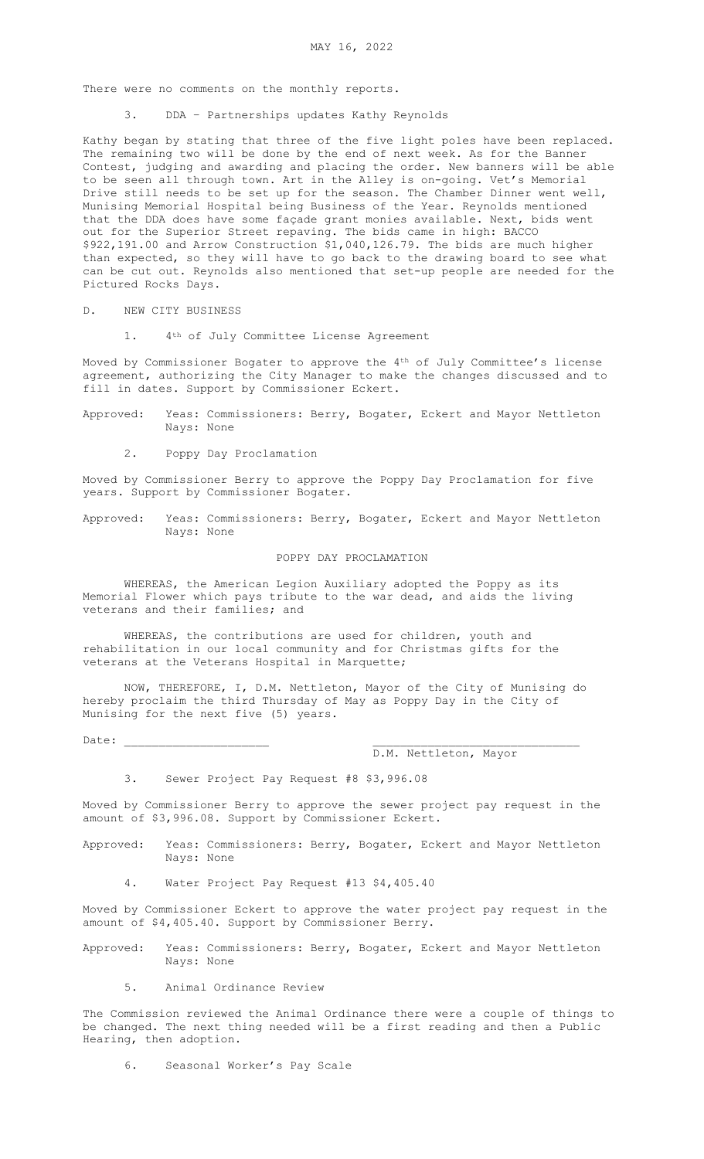There were no comments on the monthly reports.

3. DDA – Partnerships updates Kathy Reynolds

Kathy began by stating that three of the five light poles have been replaced. The remaining two will be done by the end of next week. As for the Banner Contest, judging and awarding and placing the order. New banners will be able to be seen all through town. Art in the Alley is on-going. Vet's Memorial Drive still needs to be set up for the season. The Chamber Dinner went well, Munising Memorial Hospital being Business of the Year. Reynolds mentioned that the DDA does have some façade grant monies available. Next, bids went out for the Superior Street repaving. The bids came in high: BACCO \$922,191.00 and Arrow Construction \$1,040,126.79. The bids are much higher than expected, so they will have to go back to the drawing board to see what can be cut out. Reynolds also mentioned that set-up people are needed for the Pictured Rocks Days.

## D. NEW CITY BUSINESS

1. 4<sup>th</sup> of July Committee License Agreement

Moved by Commissioner Bogater to approve the 4th of July Committee's license agreement, authorizing the City Manager to make the changes discussed and to fill in dates. Support by Commissioner Eckert.

- Approved: Yeas: Commissioners: Berry, Bogater, Eckert and Mayor Nettleton Nays: None
	- 2. Poppy Day Proclamation

Moved by Commissioner Berry to approve the Poppy Day Proclamation for five years. Support by Commissioner Bogater.

Approved: Yeas: Commissioners: Berry, Bogater, Eckert and Mayor Nettleton Nays: None

#### POPPY DAY PROCLAMATION

 WHEREAS, the American Legion Auxiliary adopted the Poppy as its Memorial Flower which pays tribute to the war dead, and aids the living veterans and their families; and

 WHEREAS, the contributions are used for children, youth and rehabilitation in our local community and for Christmas gifts for the veterans at the Veterans Hospital in Marquette;

 NOW, THEREFORE, I, D.M. Nettleton, Mayor of the City of Munising do hereby proclaim the third Thursday of May as Poppy Day in the City of Munising for the next five (5) years.

Date: \_\_\_\_\_\_\_\_\_\_\_\_\_\_\_\_\_\_\_\_\_ \_\_\_\_\_\_\_\_\_\_\_\_\_\_\_\_\_\_\_\_\_\_\_\_\_\_\_\_\_\_

#### D.M. Nettleton, Mayor

3. Sewer Project Pay Request #8 \$3,996.08

Moved by Commissioner Berry to approve the sewer project pay request in the amount of \$3,996.08. Support by Commissioner Eckert.

- Approved: Yeas: Commissioners: Berry, Bogater, Eckert and Mayor Nettleton Nays: None
	- 4. Water Project Pay Request #13 \$4,405.40

Moved by Commissioner Eckert to approve the water project pay request in the amount of \$4,405.40. Support by Commissioner Berry.

Approved: Yeas: Commissioners: Berry, Bogater, Eckert and Mayor Nettleton Nays: None

5. Animal Ordinance Review

The Commission reviewed the Animal Ordinance there were a couple of things to be changed. The next thing needed will be a first reading and then a Public Hearing, then adoption.

6. Seasonal Worker's Pay Scale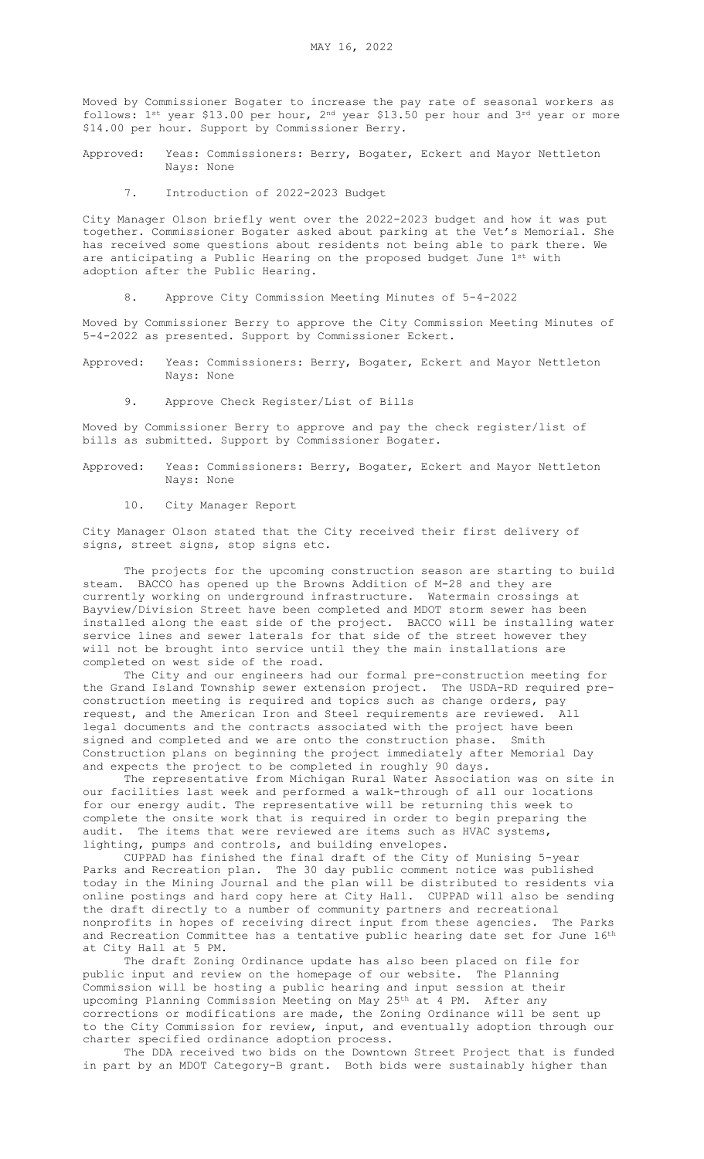Moved by Commissioner Bogater to increase the pay rate of seasonal workers as follows: 1st year \$13.00 per hour, 2nd year \$13.50 per hour and 3rd year or more \$14.00 per hour. Support by Commissioner Berry.

Approved: Yeas: Commissioners: Berry, Bogater, Eckert and Mayor Nettleton Nays: None

7. Introduction of 2022-2023 Budget

City Manager Olson briefly went over the 2022-2023 budget and how it was put together. Commissioner Bogater asked about parking at the Vet's Memorial. She has received some questions about residents not being able to park there. We are anticipating a Public Hearing on the proposed budget June 1st with adoption after the Public Hearing.

8. Approve City Commission Meeting Minutes of 5-4-2022

Moved by Commissioner Berry to approve the City Commission Meeting Minutes of 5-4-2022 as presented. Support by Commissioner Eckert.

Approved: Yeas: Commissioners: Berry, Bogater, Eckert and Mayor Nettleton Nays: None

9. Approve Check Register/List of Bills

Moved by Commissioner Berry to approve and pay the check register/list of bills as submitted. Support by Commissioner Bogater.

Approved: Yeas: Commissioners: Berry, Bogater, Eckert and Mayor Nettleton Nays: None

10. City Manager Report

City Manager Olson stated that the City received their first delivery of signs, street signs, stop signs etc.

The projects for the upcoming construction season are starting to build steam. BACCO has opened up the Browns Addition of M-28 and they are currently working on underground infrastructure. Watermain crossings at Bayview/Division Street have been completed and MDOT storm sewer has been installed along the east side of the project. BACCO will be installing water service lines and sewer laterals for that side of the street however they will not be brought into service until they the main installations are completed on west side of the road.

The City and our engineers had our formal pre-construction meeting for the Grand Island Township sewer extension project. The USDA-RD required preconstruction meeting is required and topics such as change orders, pay request, and the American Iron and Steel requirements are reviewed. All legal documents and the contracts associated with the project have been signed and completed and we are onto the construction phase. Smith Construction plans on beginning the project immediately after Memorial Day and expects the project to be completed in roughly 90 days.

The representative from Michigan Rural Water Association was on site in our facilities last week and performed a walk-through of all our locations for our energy audit. The representative will be returning this week to complete the onsite work that is required in order to begin preparing the audit. The items that were reviewed are items such as HVAC systems, lighting, pumps and controls, and building envelopes.

CUPPAD has finished the final draft of the City of Munising 5-year Parks and Recreation plan. The 30 day public comment notice was published today in the Mining Journal and the plan will be distributed to residents via online postings and hard copy here at City Hall. CUPPAD will also be sending the draft directly to a number of community partners and recreational nonprofits in hopes of receiving direct input from these agencies. The Parks and Recreation Committee has a tentative public hearing date set for June 16th at City Hall at 5 PM.

The draft Zoning Ordinance update has also been placed on file for public input and review on the homepage of our website. The Planning Commission will be hosting a public hearing and input session at their upcoming Planning Commission Meeting on May 25<sup>th</sup> at 4 PM. After any corrections or modifications are made, the Zoning Ordinance will be sent up to the City Commission for review, input, and eventually adoption through our charter specified ordinance adoption process.

The DDA received two bids on the Downtown Street Project that is funded in part by an MDOT Category-B grant. Both bids were sustainably higher than